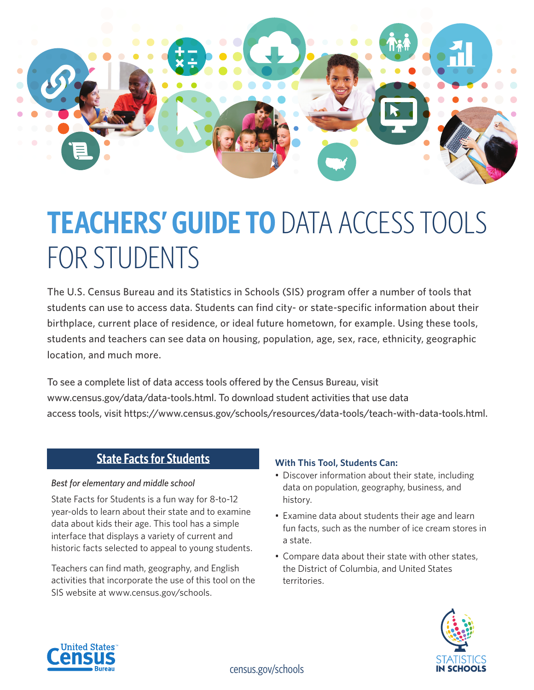

# **TEACHERS' GUIDE TO** DATA ACCESS TOOLS FOR STUDENTS

The U.S. Census Bureau and its Statistics in Schools (SIS) program offer a number of tools that students can use to access data. Students can find city- or state-specific information about their birthplace, current place of residence, or ideal future hometown, for example. Using these tools, students and teachers can see data on housing, population, age, sex, race, ethnicity, geographic location, and much more.

To see a complete list of data access tools offered by the Census Bureau, visit [www.census.gov/data/data-tools.html](https://www.census.gov/data/data-tools.html). To download student activities that use data access tools, visit [https://www.census.gov/schools/resources/data-tools/teach-with-data-tools.html.](https://www.census.gov/schools/resources/data-tools/teach-with-data-tools.html)

# **State Facts for Students**

## *Best for elementary and middle school*

State Facts for Students is a fun way for 8-to-12 year-olds to learn about their state and to examine data about kids their age. This tool has a simple interface that displays a variety of current and historic facts selected to appeal to young students.

Teachers can find math, geography, and English activities that incorporate the use of this tool on the SIS website at www.census.gov/schools.

## **With This Tool, Students Can:**

- Discover information about their state, including data on population, geography, business, and history.
- Examine data about students their age and learn fun facts, such as the number of ice cream stores in a state.
- Compare data about their state with other states, the District of Columbia, and United States territories.